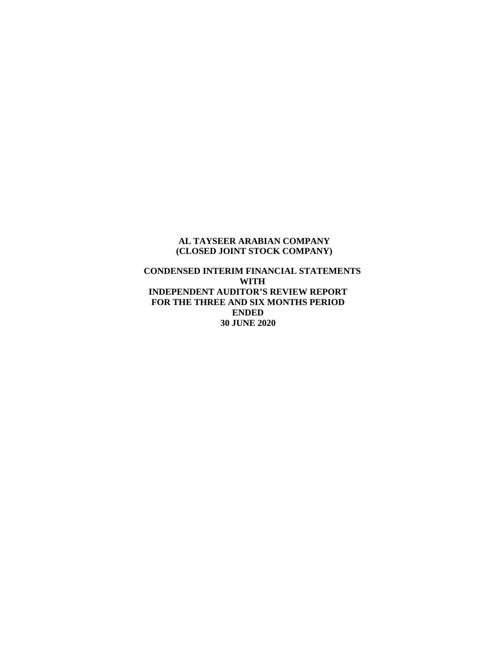#### **AL TAYSEER ARABIAN COMPANY (CLOSED JOINT STOCK COMPANY)**

### **CONDENSED INTERIM FINANCIAL STATEMENTS WITH INDEPENDENT AUDITOR'S REVIEW REPORT FOR THE THREE AND SIX MONTHS PERIOD ENDED 30 JUNE 2020**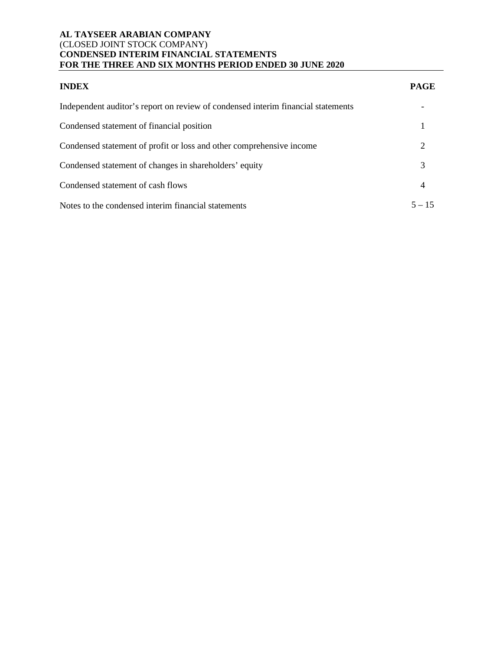| <b>INDEX</b>                                                                     | <b>PAGE</b> |
|----------------------------------------------------------------------------------|-------------|
| Independent auditor's report on review of condensed interim financial statements |             |
| Condensed statement of financial position                                        |             |
| Condensed statement of profit or loss and other comprehensive income             | 2           |
| Condensed statement of changes in shareholders' equity                           | 3           |
| Condensed statement of cash flows                                                | 4           |
| Notes to the condensed interim financial statements                              | $5 - 15$    |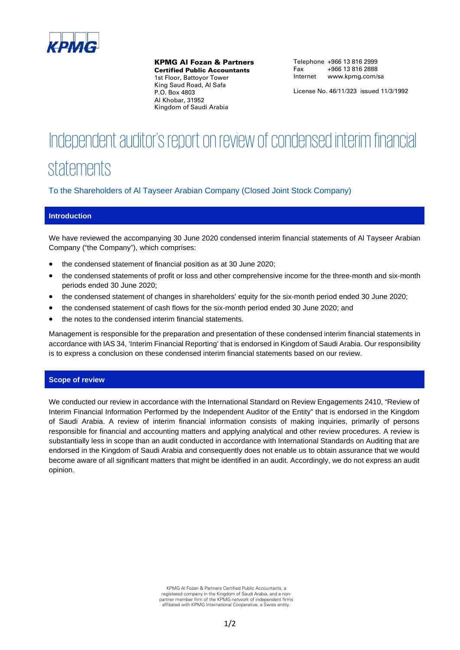

KPMG Al Fozan & Partners

Certified Public Accountants 1st Floor, Battoyor Tower King Saud Road, Al Safa P.O. Box 4803 Al Khobar, 31952 Kingdom of Saudi Arabia

Telephone +966 13 816 2999 Fax +966 13 816 2888 Internet www.kpmg.com/sa

License No. 46/11/323 issued 11/3/1992

# Independent auditor's report on review of condensed interim financial **statements**

To the Shareholders of Al Tayseer Arabian Company (Closed Joint Stock Company)

#### **Introduction**

We have reviewed the accompanying 30 June 2020 condensed interim financial statements of Al Tayseer Arabian Company ("the Company"), which comprises:

- the condensed statement of financial position as at 30 June 2020;
- the condensed statements of profit or loss and other comprehensive income for the three-month and six-month periods ended 30 June 2020;
- the condensed statement of changes in shareholders' equity for the six-month period ended 30 June 2020;
- the condensed statement of cash flows for the six-month period ended 30 June 2020; and
- the notes to the condensed interim financial statements.

Management is responsible for the preparation and presentation of these condensed interim financial statements in accordance with IAS 34, 'Interim Financial Reporting' that is endorsed in Kingdom of Saudi Arabia. Our responsibility is to express a conclusion on these condensed interim financial statements based on our review.

#### **Scope of review**

We conducted our review in accordance with the International Standard on Review Engagements 2410, "Review of Interim Financial Information Performed by the Independent Auditor of the Entity" that is endorsed in the Kingdom of Saudi Arabia. A review of interim financial information consists of making inquiries, primarily of persons responsible for financial and accounting matters and applying analytical and other review procedures. A review is substantially less in scope than an audit conducted in accordance with International Standards on Auditing that are endorsed in the Kingdom of Saudi Arabia and consequently does not enable us to obtain assurance that we would become aware of all significant matters that might be identified in an audit. Accordingly, we do not express an audit opinion.

> KPMG Al Fozan & Partners Certified Public Accountants, a registered company in the Kingdom of Saudi Arabia, and a non-partner member firm of the KPMG network of independent firms affiliated with KPMG International Cooperative, a Swiss entity.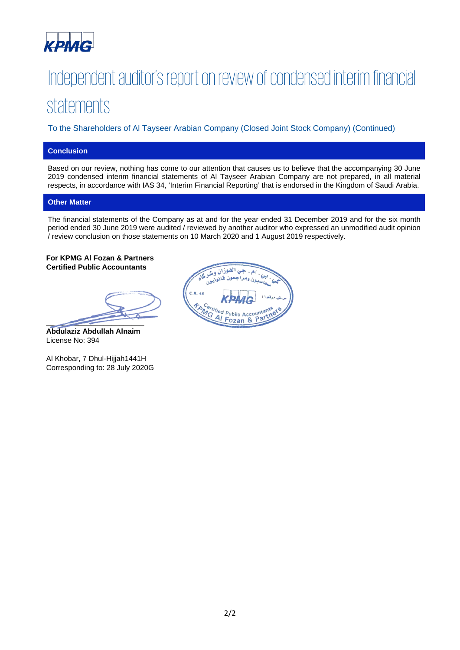

# Independent auditor's report on review of condensed interim financial statements

To the Shareholders of Al Tayseer Arabian Company (Closed Joint Stock Company) (Continued)

## **Conclusion**

Based on our review, nothing has come to our attention that causes us to believe that the accompanying 30 June 2019 condensed interim financial statements of Al Tayseer Arabian Company are not prepared, in all material respects, in accordance with IAS 34, 'Interim Financial Reporting' that is endorsed in the Kingdom of Saudi Arabia.

#### **Other Matter**

The financial statements of the Company as at and for the year ended 31 December 2019 and for the six month period ended 30 June 2019 were audited / reviewed by another auditor who expressed an unmodified audit opinion / review conclusion on those statements on 10 March 2020 and 1 August 2019 respectively.

**For KPMG Al Fozan & Partners Certified Public Accountants** 

 $\overline{\phantom{a}}$ 

**Abdulaziz Abdullah Alnaim** License No: 394

Al Khobar, 7 Dhul-Hijjah1441H Corresponding to: 28 July 2020G

جي الفوزان و فخانونيون ć,  $C.R.46$ **TANGE Public Accountants**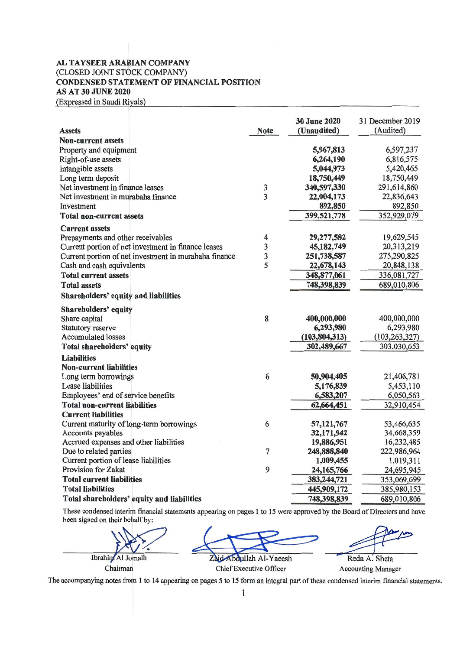#### AL TAYSEER ARABIAN COMPANY (CLOSED JOINT STOCK COMPANY) CONDENSED STATEMENT OF FINANCIAL POSITION AS AT 30 JUNE 2020 (Expressed in Saudi Riyals)

|                                                       |                | <b>30 June 2020</b> | 31 December 2019 |
|-------------------------------------------------------|----------------|---------------------|------------------|
| <b>Assets</b>                                         | <b>Note</b>    | (Unaudited)         | (Audited)        |
| <b>Non-current assets</b>                             |                |                     |                  |
| Property and equipment                                |                | 5,967,813           | 6,597,237        |
| Right-of-use assets                                   |                | 6,264,190           | 6,816,575        |
| Intangible assets                                     |                | 5,044,973           | 5,420,465        |
| Long term deposit                                     |                | 18,750,449          | 18,750,449       |
| Net investment in finance leases                      | 3              | 340,597,330         | 291,614,860      |
| Net investment in murabaha finance                    | $\overline{3}$ | 22,004,173          | 22,836,643       |
| Investment                                            |                | 892,850             | 892,850          |
| <b>Total non-current assets</b>                       |                | 399,521,778         | 352,929,079      |
| <b>Current assets</b>                                 |                |                     |                  |
| Prepayments and other receivables                     | 4              | 29,277,582          | 19,629,545       |
| Current portion of net investment in finance leases   | 3              | 45,182,749          | 20,313,219       |
| Current portion of net investment in murabaha finance | 3              | 251,738,587         | 275,290,825      |
| Cash and cash equivalents                             | 5              | 22,678,143          | 20,848,138       |
| <b>Total current assets</b>                           |                | 348,877,061         | 336,081,727      |
| <b>Total assets</b>                                   |                | 748,398,839         | 689,010,806      |
| <b>Shareholders' equity and liabilities</b>           |                |                     |                  |
| Shareholders' equity                                  |                |                     |                  |
| Share capital                                         | 8              | 400,000,000         | 400,000,000      |
| <b>Statutory reserve</b>                              |                | 6,293,980           | 6,293,980        |
| <b>Accumulated losses</b>                             |                | (103, 804, 313)     | (103, 263, 327)  |
| Total shareholders' equity                            |                | 302,489,667         | 303,030,653      |
| <b>Liabilities</b>                                    |                |                     |                  |
| <b>Non-current liabilities</b>                        |                |                     |                  |
| Long term borrowings                                  | 6              | 50,904,405          | 21,406,781       |
| Lease liabilities                                     |                | 5,176,839           | 5,453,110        |
| Employees' end of service benefits                    |                | 6,583,207           | 6,050,563        |
| <b>Total non-current liabilities</b>                  |                | 62,664,451          | 32,910,454       |
| <b>Current liabilities</b>                            |                |                     |                  |
| Current maturity of long-term borrowings              | 6              | 57,121,767          | 53,466,635       |
| Accounts payables                                     |                | 32,171,942          | 34,668,359       |
| Accrued expenses and other liabilities                |                | 19,886,951          | 16,232,485       |
| Due to related parties                                | $\overline{7}$ | 248,888,840         | 222,986,964      |
| Current portion of lease liabilities                  |                | 1,009,455           | 1,019,311        |
| <b>Provision for Zakat</b>                            | 9              | 24, 165, 766        | 24,695,945       |
| <b>Total current liabilities</b>                      |                | 383,244,721         | 353,069,699      |
| <b>Total liabilities</b>                              |                | 445,909,172         | 385,980,153      |
| Total shareholders' equity and liabilities            |                | 748,398,839         | 689,010,806      |

These condensed interim financial statements appearing on pages 1 to 15 were approved by the Board of Directors and have been signed on their behalf by:

ed on their behalf by:<br>Ibrahim Al Jomaih<br>Chairman Chairman Chairman Chief Executive Officer Accounting Manager

The accompanying notes from 1 to 14 appearing on pages 5 to 15 form an integral part of these condensed interim financial statements.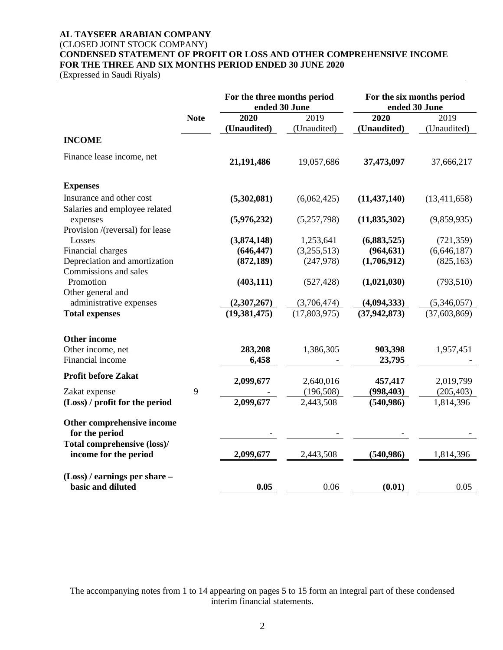#### **AL TAYSEER ARABIAN COMPANY**

#### (CLOSED JOINT STOCK COMPANY)

**CONDENSED STATEMENT OF PROFIT OR LOSS AND OTHER COMPREHENSIVE INCOME FOR THE THREE AND SIX MONTHS PERIOD ENDED 30 JUNE 2020**

(Expressed in Saudi Riyals)

|                                                           |             | For the three months period<br>ended 30 June |              |                | For the six months period<br>ended 30 June |
|-----------------------------------------------------------|-------------|----------------------------------------------|--------------|----------------|--------------------------------------------|
|                                                           | <b>Note</b> | 2020                                         | 2019         | 2020           | 2019                                       |
|                                                           |             | (Unaudited)                                  | (Unaudited)  | (Unaudited)    | (Unaudited)                                |
| <b>INCOME</b>                                             |             |                                              |              |                |                                            |
| Finance lease income, net                                 |             | 21,191,486                                   | 19,057,686   | 37,473,097     | 37,666,217                                 |
| <b>Expenses</b>                                           |             |                                              |              |                |                                            |
| Insurance and other cost<br>Salaries and employee related |             | (5,302,081)                                  | (6,062,425)  | (11, 437, 140) | (13, 411, 658)                             |
| expenses<br>Provision /(reversal) for lease               |             | (5,976,232)                                  | (5,257,798)  | (11, 835, 302) | (9,859,935)                                |
| Losses                                                    |             | (3,874,148)                                  | 1,253,641    | (6,883,525)    | (721, 359)                                 |
| Financial charges                                         |             | (646, 447)                                   | (3,255,513)  | (964, 631)     | (6,646,187)                                |
| Depreciation and amortization<br>Commissions and sales    |             | (872, 189)                                   | (247, 978)   | (1,706,912)    | (825, 163)                                 |
| Promotion                                                 |             | (403, 111)                                   | (527, 428)   | (1,021,030)    | (793, 510)                                 |
| Other general and                                         |             |                                              |              |                |                                            |
| administrative expenses                                   |             | (2,307,267)                                  | (3,706,474)  | (4,094,333)    | (5,346,057)                                |
| <b>Total expenses</b>                                     |             | (19, 381, 475)                               | (17,803,975) | (37, 942, 873) | (37, 603, 869)                             |
| <b>Other income</b>                                       |             |                                              |              |                |                                            |
| Other income, net                                         |             | 283,208                                      | 1,386,305    | 903,398        | 1,957,451                                  |
| Financial income                                          |             | 6,458                                        |              | 23,795         |                                            |
| <b>Profit before Zakat</b>                                |             | 2,099,677                                    | 2,640,016    | 457,417        | 2,019,799                                  |
| Zakat expense                                             | 9           |                                              | (196, 508)   | (998, 403)     | (205, 403)                                 |
| (Loss) / profit for the period                            |             | 2,099,677                                    | 2,443,508    | (540, 986)     | 1,814,396                                  |
| Other comprehensive income<br>for the period              |             |                                              |              |                |                                            |
| Total comprehensive (loss)/<br>income for the period      |             | 2,099,677                                    | 2,443,508    | (540, 986)     | 1,814,396                                  |
| $(Loss)$ / earnings per share –<br>basic and diluted      |             | 0.05                                         | 0.06         | (0.01)         | 0.05                                       |

The accompanying notes from 1 to 14 appearing on pages 5 to 15 form an integral part of these condensed interim financial statements.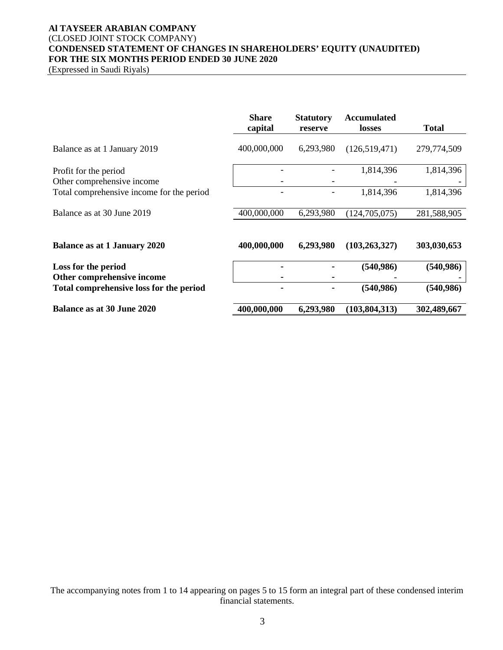## **Al TAYSEER ARABIAN COMPANY** (CLOSED JOINT STOCK COMPANY) **CONDENSED STATEMENT OF CHANGES IN SHAREHOLDERS' EQUITY (UNAUDITED) FOR THE SIX MONTHS PERIOD ENDED 30 JUNE 2020**

(Expressed in Saudi Riyals)

|                                                     | <b>Share</b><br>capital | <b>Statutory</b><br>reserve | <b>Accumulated</b><br><b>losses</b> | <b>Total</b> |
|-----------------------------------------------------|-------------------------|-----------------------------|-------------------------------------|--------------|
| Balance as at 1 January 2019                        | 400,000,000             | 6,293,980                   | (126,519,471)                       | 279,774,509  |
| Profit for the period<br>Other comprehensive income |                         |                             | 1,814,396                           | 1,814,396    |
| Total comprehensive income for the period           |                         |                             | 1,814,396                           | 1,814,396    |
| Balance as at 30 June 2019                          | 400,000,000             | 6,293,980                   | (124, 705, 075)                     | 281,588,905  |
| <b>Balance as at 1 January 2020</b>                 | 400,000,000             | 6,293,980                   | (103, 263, 327)                     | 303,030,653  |
| Loss for the period<br>Other comprehensive income   |                         |                             | (540, 986)                          | (540, 986)   |
| Total comprehensive loss for the period             |                         |                             | (540, 986)                          | (540, 986)   |
| Balance as at 30 June 2020                          | 400,000,000             | 6,293,980                   | (103, 804, 313)                     | 302,489,667  |

The accompanying notes from 1 to 14 appearing on pages 5 to 15 form an integral part of these condensed interim financial statements.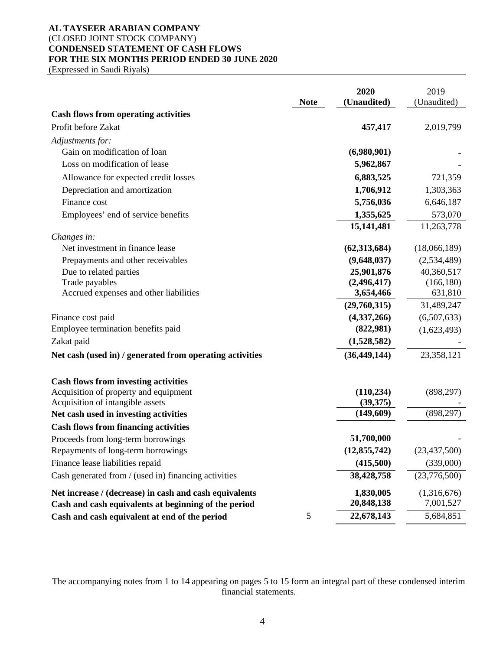## **AL TAYSEER ARABIAN COMPANY** (CLOSED JOINT STOCK COMPANY) **CONDENSED STATEMENT OF CASH FLOWS FOR THE SIX MONTHS PERIOD ENDED 30 JUNE 2020**

(Expressed in Saudi Riyals)

|                                                          |             | 2020           | 2019           |
|----------------------------------------------------------|-------------|----------------|----------------|
|                                                          | <b>Note</b> | (Unaudited)    | (Unaudited)    |
| <b>Cash flows from operating activities</b>              |             |                |                |
| Profit before Zakat                                      |             | 457,417        | 2,019,799      |
| Adjustments for:                                         |             |                |                |
| Gain on modification of loan                             |             | (6,980,901)    |                |
| Loss on modification of lease                            |             | 5,962,867      |                |
| Allowance for expected credit losses                     |             | 6,883,525      | 721,359        |
| Depreciation and amortization                            |             | 1,706,912      | 1,303,363      |
| Finance cost                                             |             | 5,756,036      | 6,646,187      |
| Employees' end of service benefits                       |             | 1,355,625      | 573,070        |
|                                                          |             | 15,141,481     | 11,263,778     |
| Changes in:                                              |             |                |                |
| Net investment in finance lease                          |             | (62, 313, 684) | (18,066,189)   |
| Prepayments and other receivables                        |             | (9,648,037)    | (2,534,489)    |
| Due to related parties                                   |             | 25,901,876     | 40,360,517     |
| Trade payables                                           |             | (2,496,417)    | (166, 180)     |
| Accrued expenses and other liabilities                   |             | 3,654,466      | 631,810        |
|                                                          |             | (29,760,315)   | 31,489,247     |
| Finance cost paid                                        |             | (4,337,266)    | (6,507,633)    |
| Employee termination benefits paid                       |             | (822,981)      | (1,623,493)    |
| Zakat paid                                               |             | (1,528,582)    |                |
| Net cash (used in) / generated from operating activities |             | (36, 449, 144) | 23,358,121     |
| <b>Cash flows from investing activities</b>              |             |                |                |
| Acquisition of property and equipment                    |             | (110, 234)     | (898, 297)     |
| Acquisition of intangible assets                         |             | (39,375)       |                |
| Net cash used in investing activities                    |             | (149,609)      | (898, 297)     |
| <b>Cash flows from financing activities</b>              |             |                |                |
| Proceeds from long-term borrowings                       |             | 51,700,000     |                |
| Repayments of long-term borrowings                       |             | (12, 855, 742) | (23, 437, 500) |
| Finance lease liabilities repaid                         |             | (415,500)      | (339,000)      |
| Cash generated from / (used in) financing activities     |             | 38,428,758     | (23,776,500)   |
| Net increase / (decrease) in cash and cash equivalents   |             | 1,830,005      | (1,316,676)    |
| Cash and cash equivalents at beginning of the period     |             | 20,848,138     | 7,001,527      |
| Cash and cash equivalent at end of the period            | 5           | 22,678,143     | 5,684,851      |

The accompanying notes from 1 to 14 appearing on pages 5 to 15 form an integral part of these condensed interim financial statements.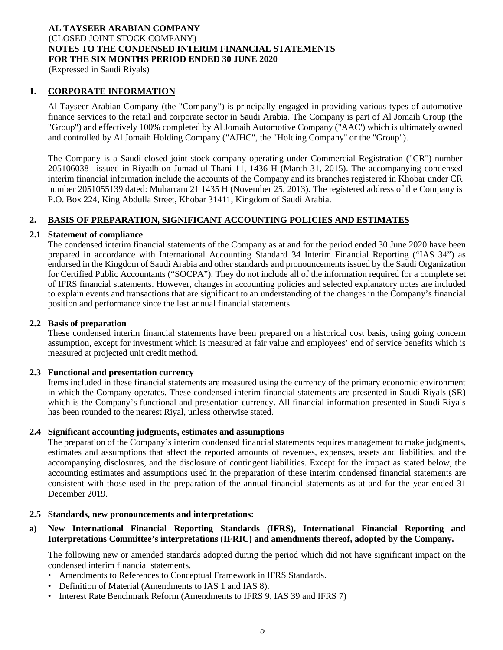(Expressed in Saudi Riyals)

### **1. CORPORATE INFORMATION**

Al Tayseer Arabian Company (the "Company") is principally engaged in providing various types of automotive finance services to the retail and corporate sector in Saudi Arabia. The Company is part of Al Jomaih Group (the "Group") and effectively 100% completed by Al Jomaih Automotive Company ("AAC') which is ultimately owned and controlled by Al Jomaih Holding Company ("AJHC", the "Holding Company'' or the "Group").

The Company is a Saudi closed joint stock company operating under Commercial Registration ("CR") number 2051060381 issued in Riyadh on Jumad ul Thani 11, 1436 H (March 31, 2015). The accompanying condensed interim financial information include the accounts of the Company and its branches registered in Khobar under CR number 2051055139 dated: Muharram 21 1435 H (November 25, 2013). The registered address of the Company is P.O. Box 224, King Abdulla Street, Khobar 31411, Kingdom of Saudi Arabia.

## **2. BASIS OF PREPARATION, SIGNIFICANT ACCOUNTING POLICIES AND ESTIMATES**

#### **2.1 Statement of compliance**

The condensed interim financial statements of the Company as at and for the period ended 30 June 2020 have been prepared in accordance with International Accounting Standard 34 Interim Financial Reporting ("IAS 34") as endorsed in the Kingdom of Saudi Arabia and other standards and pronouncements issued by the Saudi Organization for Certified Public Accountants ("SOCPA"). They do not include all of the information required for a complete set of IFRS financial statements. However, changes in accounting policies and selected explanatory notes are included to explain events and transactions that are significant to an understanding of the changes in the Company's financial position and performance since the last annual financial statements.

#### **2.2 Basis of preparation**

These condensed interim financial statements have been prepared on a historical cost basis, using going concern assumption, except for investment which is measured at fair value and employees' end of service benefits which is measured at projected unit credit method.

#### **2.3 Functional and presentation currency**

Items included in these financial statements are measured using the currency of the primary economic environment in which the Company operates. These condensed interim financial statements are presented in Saudi Riyals (SR) which is the Company's functional and presentation currency. All financial information presented in Saudi Riyals has been rounded to the nearest Riyal, unless otherwise stated.

#### **2.4 Significant accounting judgments, estimates and assumptions**

The preparation of the Company's interim condensed financial statements requires management to make judgments, estimates and assumptions that affect the reported amounts of revenues, expenses, assets and liabilities, and the accompanying disclosures, and the disclosure of contingent liabilities. Except for the impact as stated below, the accounting estimates and assumptions used in the preparation of these interim condensed financial statements are consistent with those used in the preparation of the annual financial statements as at and for the year ended 31 December 2019.

#### **2.5 Standards, new pronouncements and interpretations:**

### **a) New International Financial Reporting Standards (IFRS), International Financial Reporting and Interpretations Committee's interpretations (IFRIC) and amendments thereof, adopted by the Company.**

The following new or amended standards adopted during the period which did not have significant impact on the condensed interim financial statements.

- Amendments to References to Conceptual Framework in IFRS Standards.
- Definition of Material (Amendments to IAS 1 and IAS 8).
- Interest Rate Benchmark Reform (Amendments to IFRS 9, IAS 39 and IFRS 7)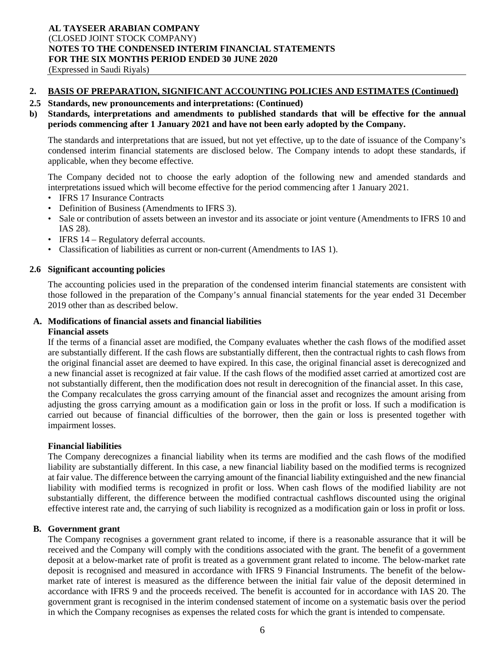#### **2. BASIS OF PREPARATION, SIGNIFICANT ACCOUNTING POLICIES AND ESTIMATES (Continued)**

#### **2.5 Standards, new pronouncements and interpretations: (Continued)**

### **b) Standards, interpretations and amendments to published standards that will be effective for the annual periods commencing after 1 January 2021 and have not been early adopted by the Company.**

The standards and interpretations that are issued, but not yet effective, up to the date of issuance of the Company's condensed interim financial statements are disclosed below. The Company intends to adopt these standards, if applicable, when they become effective.

The Company decided not to choose the early adoption of the following new and amended standards and interpretations issued which will become effective for the period commencing after 1 January 2021.

- IFRS 17 Insurance Contracts
- Definition of Business (Amendments to IFRS 3).
- Sale or contribution of assets between an investor and its associate or joint venture (Amendments to IFRS 10 and IAS 28).
- IFRS 14 Regulatory deferral accounts.
- Classification of liabilities as current or non-current (Amendments to IAS 1).

#### **2.6 Significant accounting policies**

The accounting policies used in the preparation of the condensed interim financial statements are consistent with those followed in the preparation of the Company's annual financial statements for the year ended 31 December 2019 other than as described below.

#### **A. Modifications of financial assets and financial liabilities**

#### **Financial assets**

If the terms of a financial asset are modified, the Company evaluates whether the cash flows of the modified asset are substantially different. If the cash flows are substantially different, then the contractual rights to cash flows from the original financial asset are deemed to have expired. In this case, the original financial asset is derecognized and a new financial asset is recognized at fair value. If the cash flows of the modified asset carried at amortized cost are not substantially different, then the modification does not result in derecognition of the financial asset. In this case, the Company recalculates the gross carrying amount of the financial asset and recognizes the amount arising from adjusting the gross carrying amount as a modification gain or loss in the profit or loss. If such a modification is carried out because of financial difficulties of the borrower, then the gain or loss is presented together with impairment losses.

#### **Financial liabilities**

The Company derecognizes a financial liability when its terms are modified and the cash flows of the modified liability are substantially different. In this case, a new financial liability based on the modified terms is recognized at fair value. The difference between the carrying amount of the financial liability extinguished and the new financial liability with modified terms is recognized in profit or loss. When cash flows of the modified liability are not substantially different, the difference between the modified contractual cashflows discounted using the original effective interest rate and, the carrying of such liability is recognized as a modification gain or loss in profit or loss.

#### **B. Government grant**

The Company recognises a government grant related to income, if there is a reasonable assurance that it will be received and the Company will comply with the conditions associated with the grant. The benefit of a government deposit at a below-market rate of profit is treated as a government grant related to income. The below-market rate deposit is recognised and measured in accordance with IFRS 9 Financial Instruments. The benefit of the belowmarket rate of interest is measured as the difference between the initial fair value of the deposit determined in accordance with IFRS 9 and the proceeds received. The benefit is accounted for in accordance with IAS 20. The government grant is recognised in the interim condensed statement of income on a systematic basis over the period in which the Company recognises as expenses the related costs for which the grant is intended to compensate.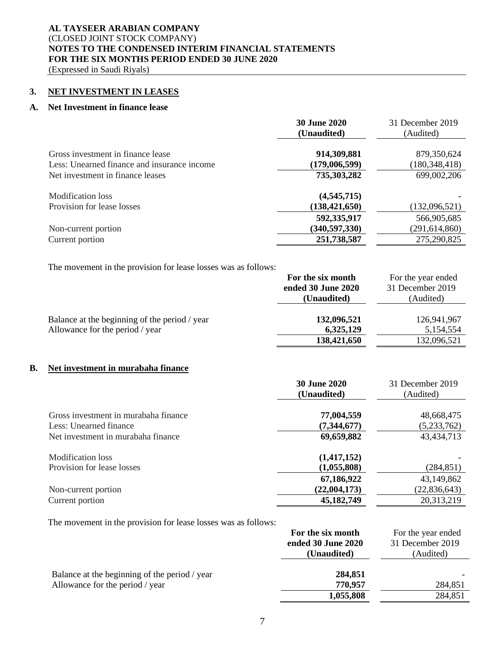(Expressed in Saudi Riyals)

#### **3. NET INVESTMENT IN LEASES**

#### **A. Net Investment in finance lease**

|                                                                                  | <b>30 June 2020</b><br>(Unaudited)            | 31 December 2019<br>(Audited)                 |
|----------------------------------------------------------------------------------|-----------------------------------------------|-----------------------------------------------|
| Gross investment in finance lease<br>Less: Unearned finance and insurance income | 914,309,881<br>(179,006,599)                  | 879,350,624<br>180,348,418                    |
| Net investment in finance leases                                                 | 735,303,282                                   | 699,002,206                                   |
| Modification loss<br>Provision for lease losses                                  | (4, 545, 715)<br>(138, 421, 650)              | (132,096,521)                                 |
| Non-current portion<br>Current portion                                           | 592,335,917<br>(340, 597, 330)<br>251,738,587 | 566,905,685<br>(291, 614, 860)<br>275,290,825 |
|                                                                                  |                                               |                                               |

The movement in the provision for lease losses was as follows:

|                                               | For the six month  | For the year ended |
|-----------------------------------------------|--------------------|--------------------|
|                                               | ended 30 June 2020 | 31 December 2019   |
|                                               | (Unaudited)        | (Audited)          |
|                                               |                    |                    |
| Balance at the beginning of the period / year | 132,096,521        | 126,941,967        |
| Allowance for the period / year               | 6,325,129          | 5,154,554          |
|                                               | 138,421,650        | 132,096,521        |

#### **B. Net investment in murabaha finance**

|                                      | <b>30 June 2020</b> | 31 December 2019 |
|--------------------------------------|---------------------|------------------|
|                                      | (Unaudited)         | (Audited)        |
|                                      |                     |                  |
| Gross investment in murabaha finance | 77,004,559          | 48,668,475       |
| Less: Unearned finance               | (7, 344, 677)       | (5,233,762)      |
| Net investment in murabaha finance   | 69,659,882          | 43,434,713       |
| Modification loss                    | (1,417,152)         |                  |
| Provision for lease losses           | (1,055,808)         | (284, 851)       |
|                                      | 67,186,922          | 43,149,862       |
| Non-current portion                  | (22,004,173)        | (22, 836, 643)   |
| Current portion                      | 45,182,749          | 20,313,219       |

The movement in the provision for lease losses was as follows:

|                                               | For the six month  | For the year ended |
|-----------------------------------------------|--------------------|--------------------|
|                                               | ended 30 June 2020 | 31 December 2019   |
|                                               | (Unaudited)        | (Audited)          |
| Balance at the beginning of the period / year | 284,851            |                    |
| Allowance for the period / year               | 770,957            | 284,851            |
|                                               | 1,055,808          | 284,851            |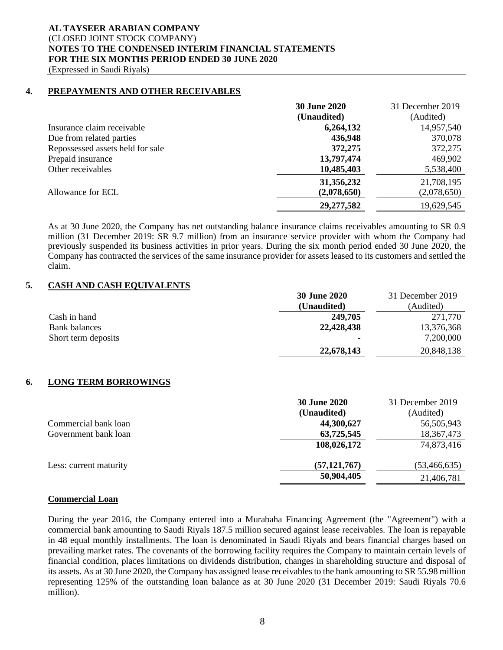(Expressed in Saudi Riyals)

#### **4. PREPAYMENTS AND OTHER RECEIVABLES**

|                                  | <b>30 June 2020</b> | 31 December 2019 |
|----------------------------------|---------------------|------------------|
|                                  | (Unaudited)         | (Audited)        |
| Insurance claim receivable       | 6,264,132           | 14,957,540       |
| Due from related parties         | 436,948             | 370,078          |
| Repossessed assets held for sale | 372,275             | 372,275          |
| Prepaid insurance                | 13,797,474          | 469,902          |
| Other receivables                | 10,485,403          | 5,538,400        |
|                                  | 31,356,232          | 21,708,195       |
| Allowance for ECL                | (2,078,650)         | (2,078,650)      |
|                                  | 29, 277, 582        | 19,629,545       |

As at 30 June 2020, the Company has net outstanding balance insurance claims receivables amounting to SR 0.9 million (31 December 2019: SR 9.7 million) from an insurance service provider with whom the Company had previously suspended its business activities in prior years. During the six month period ended 30 June 2020, the Company has contracted the services of the same insurance provider for assets leased to its customers and settled the claim.

#### **5. CASH AND CASH EQUIVALENTS**

|                      | <b>30 June 2020</b> | 31 December 2019 |
|----------------------|---------------------|------------------|
|                      | (Unaudited)         | (Audited)        |
| Cash in hand         | 249,705             | 271,770          |
| <b>Bank balances</b> | 22,428,438          | 13,376,368       |
| Short term deposits  |                     | 7,200,000        |
|                      | 22,678,143          | 20,848,138       |

## **6. LONG TERM BORROWINGS**

| <b>30 June 2020</b> | 31 December 2019 |
|---------------------|------------------|
| (Unaudited)         | (Audited)        |
| 44,300,627          | 56,505,943       |
| 63,725,545          | 18,367,473       |
| 108,026,172         | 74,873,416       |
| (57, 121, 767)      | (53, 466, 635)   |
| 50,904,405          | 21,406,781       |
|                     |                  |

#### **Commercial Loan**

During the year 2016, the Company entered into a Murabaha Financing Agreement (the "Agreement") with a commercial bank amounting to Saudi Riyals 187.5 million secured against lease receivables. The loan is repayable in 48 equal monthly installments. The loan is denominated in Saudi Riyals and bears financial charges based on prevailing market rates. The covenants of the borrowing facility requires the Company to maintain certain levels of financial condition, places limitations on dividends distribution, changes in shareholding structure and disposal of its assets. As at 30 June 2020, the Company has assigned lease receivables to the bank amounting to SR 55.98 million representing 125% of the outstanding loan balance as at 30 June 2020 (31 December 2019: Saudi Riyals 70.6 million).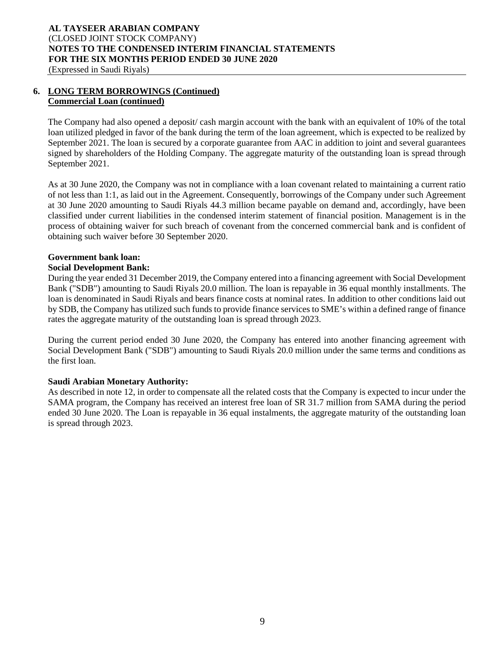### **6. LONG TERM BORROWINGS (Continued) Commercial Loan (continued)**

The Company had also opened a deposit/ cash margin account with the bank with an equivalent of 10% of the total loan utilized pledged in favor of the bank during the term of the loan agreement, which is expected to be realized by September 2021. The loan is secured by a corporate guarantee from AAC in addition to joint and several guarantees signed by shareholders of the Holding Company. The aggregate maturity of the outstanding loan is spread through September 2021.

As at 30 June 2020, the Company was not in compliance with a loan covenant related to maintaining a current ratio of not less than 1:1, as laid out in the Agreement. Consequently, borrowings of the Company under such Agreement at 30 June 2020 amounting to Saudi Riyals 44.3 million became payable on demand and, accordingly, have been classified under current liabilities in the condensed interim statement of financial position. Management is in the process of obtaining waiver for such breach of covenant from the concerned commercial bank and is confident of obtaining such waiver before 30 September 2020.

# **Government bank loan:**

## **Social Development Bank:**

During the year ended 31 December 2019, the Company entered into a financing agreement with Social Development Bank ("SDB") amounting to Saudi Riyals 20.0 million. The loan is repayable in 36 equal monthly installments. The loan is denominated in Saudi Riyals and bears finance costs at nominal rates. In addition to other conditions laid out by SDB, the Company has utilized such funds to provide finance services to SME's within a defined range of finance rates the aggregate maturity of the outstanding loan is spread through 2023.

During the current period ended 30 June 2020, the Company has entered into another financing agreement with Social Development Bank ("SDB") amounting to Saudi Riyals 20.0 million under the same terms and conditions as the first loan.

## **Saudi Arabian Monetary Authority:**

As described in note 12, in order to compensate all the related costs that the Company is expected to incur under the SAMA program, the Company has received an interest free loan of SR 31.7 million from SAMA during the period ended 30 June 2020. The Loan is repayable in 36 equal instalments, the aggregate maturity of the outstanding loan is spread through 2023.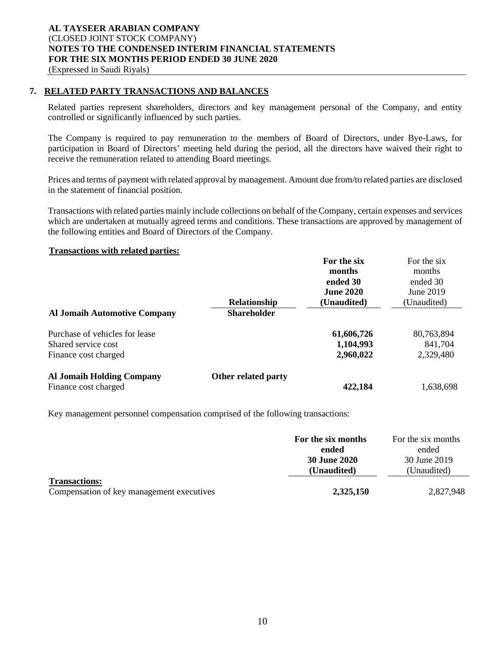## **7. RELATED PARTY TRANSACTIONS AND BALANCES**

Related parties represent shareholders, directors and key management personal of the Company, and entity controlled or significantly influenced by such parties.

The Company is required to pay remuneration to the members of Board of Directors, under Bye-Laws, for participation in Board of Directors' meeting held during the period, all the directors have waived their right to receive the remuneration related to attending Board meetings.

Prices and terms of payment with related approval by management. Amount due from/to related parties are disclosed in the statement of financial position.

Transactions with related parties mainly include collections on behalf of the Company, certain expenses and services which are undertaken at mutually agreed terms and conditions. These transactions are approved by management of the following entities and Board of Directors of the Company.

#### **Transactions with related parties:**

|                                     |                     | For the six      |             |
|-------------------------------------|---------------------|------------------|-------------|
|                                     |                     | months           | months      |
|                                     |                     | ended 30         | ended 30    |
|                                     |                     | <b>June 2020</b> | June 2019   |
|                                     | Relationship        | (Unaudited)      | (Unaudited) |
| <b>Al Jomaih Automotive Company</b> | <b>Shareholder</b>  |                  |             |
| Purchase of vehicles for lease      |                     | 61,606,726       | 80,763,894  |
| Shared service cost                 |                     | 1,104,993        | 841,704     |
| Finance cost charged                |                     | 2,960,022        | 2,329,480   |
| <b>Al Jomaih Holding Company</b>    | Other related party |                  |             |
| Finance cost charged                |                     | 422,184          | 1,638,698   |

Key management personnel compensation comprised of the following transactions:

|                                           | For the six months  | For the six months |
|-------------------------------------------|---------------------|--------------------|
|                                           | ended               | ended              |
|                                           | <b>30 June 2020</b> | 30 June 2019       |
|                                           | (Unaudited)         | (Unaudited)        |
| <b>Transactions:</b>                      |                     |                    |
| Compensation of key management executives | 2,325,150           | 2,827,948          |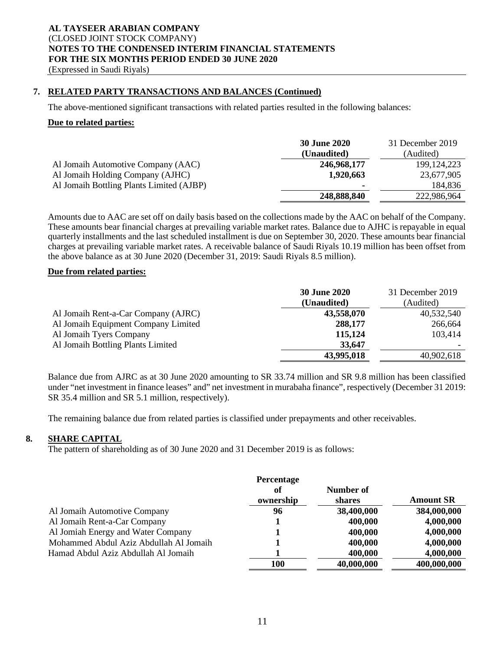### **7. RELATED PARTY TRANSACTIONS AND BALANCES (Continued)**

The above-mentioned significant transactions with related parties resulted in the following balances:

#### **Due to related parties:**

|                                                                        | <b>30 June 2020</b><br>(Unaudited) | 31 December 2019<br>(Audited) |
|------------------------------------------------------------------------|------------------------------------|-------------------------------|
| Al Jomaih Automotive Company (AAC)<br>Al Jomaih Holding Company (AJHC) | 246,968,177<br>1,920,663           | 199, 124, 223<br>23,677,905   |
| Al Jomaih Bottling Plants Limited (AJBP)                               | ۰                                  | 184,836                       |
|                                                                        | 248,888,840                        | 222,986,964                   |

Amounts due to AAC are set off on daily basis based on the collections made by the AAC on behalf of the Company. These amounts bear financial charges at prevailing variable market rates. Balance due to AJHC is repayable in equal quarterly installments and the last scheduled installment is due on September 30, 2020. These amounts bear financial charges at prevailing variable market rates. A receivable balance of Saudi Riyals 10.19 million has been offset from the above balance as at 30 June 2020 (December 31, 2019: Saudi Riyals 8.5 million).

#### **Due from related parties:**

|                                     | <b>30 June 2020</b><br>(Unaudited) | 31 December 2019<br>(Audited) |
|-------------------------------------|------------------------------------|-------------------------------|
| Al Jomaih Rent-a-Car Company (AJRC) | 43,558,070                         | 40,532,540                    |
| Al Jomaih Equipment Company Limited | 288,177                            | 266,664                       |
| Al Jomaih Tyers Company             | 115,124                            | 103,414                       |
| Al Jomaih Bottling Plants Limited   | 33,647                             |                               |
|                                     | 43,995,018                         | 40,902,618                    |

Balance due from AJRC as at 30 June 2020 amounting to SR 33.74 million and SR 9.8 million has been classified under "net investment in finance leases" and" net investment in murabaha finance", respectively (December 31 2019: SR 35.4 million and SR 5.1 million, respectively).

The remaining balance due from related parties is classified under prepayments and other receivables.

#### **8. SHARE CAPITAL**

The pattern of shareholding as of 30 June 2020 and 31 December 2019 is as follows:

|                                        | Percentage<br>оf<br>ownership | Number of<br>shares | <b>Amount SR</b> |
|----------------------------------------|-------------------------------|---------------------|------------------|
| Al Jomaih Automotive Company           | 96                            | 38,400,000          | 384,000,000      |
| Al Jomaih Rent-a-Car Company           |                               | 400,000             | 4,000,000        |
| Al Jomiah Energy and Water Company     |                               | 400,000             | 4,000,000        |
| Mohammed Abdul Aziz Abdullah Al Jomaih |                               | 400,000             | 4,000,000        |
| Hamad Abdul Aziz Abdullah Al Jomaih    |                               | 400,000             | 4,000,000        |
|                                        | <b>100</b>                    | 40,000,000          | 400,000,000      |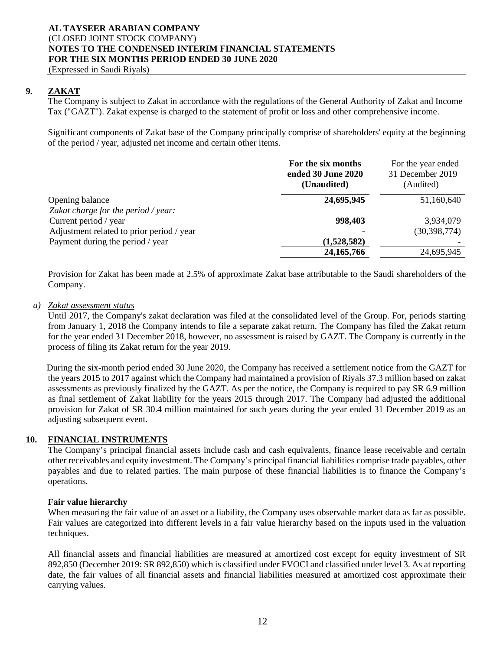**9. ZAKAT** 

The Company is subject to Zakat in accordance with the regulations of the General Authority of Zakat and Income Tax ("GAZT"). Zakat expense is charged to the statement of profit or loss and other comprehensive income.

Significant components of Zakat base of the Company principally comprise of shareholders' equity at the beginning of the period / year, adjusted net income and certain other items.

|                                           | For the six months<br>ended 30 June 2020<br>(Unaudited) | For the year ended<br>31 December 2019<br>(Audited) |
|-------------------------------------------|---------------------------------------------------------|-----------------------------------------------------|
| Opening balance                           | 24,695,945                                              | 51,160,640                                          |
| Zakat charge for the period / year:       |                                                         |                                                     |
| Current period / year                     | 998,403                                                 | 3,934,079                                           |
| Adjustment related to prior period / year |                                                         | (30, 398, 774)                                      |
| Payment during the period / year          | (1,528,582)                                             |                                                     |
|                                           | 24, 165, 766                                            | 24,695,945                                          |

Provision for Zakat has been made at 2.5% of approximate Zakat base attributable to the Saudi shareholders of the Company.

#### *a) Zakat assessment status*

Until 2017, the Company's zakat declaration was filed at the consolidated level of the Group. For, periods starting from January 1, 2018 the Company intends to file a separate zakat return. The Company has filed the Zakat return for the year ended 31 December 2018, however, no assessment is raised by GAZT. The Company is currently in the process of filing its Zakat return for the year 2019.

During the six-month period ended 30 June 2020, the Company has received a settlement notice from the GAZT for the years 2015 to 2017 against which the Company had maintained a provision of Riyals 37.3 million based on zakat assessments as previously finalized by the GAZT. As per the notice, the Company is required to pay SR 6.9 million as final settlement of Zakat liability for the years 2015 through 2017. The Company had adjusted the additional provision for Zakat of SR 30.4 million maintained for such years during the year ended 31 December 2019 as an adjusting subsequent event.

#### **10. FINANCIAL INSTRUMENTS**

The Company's principal financial assets include cash and cash equivalents, finance lease receivable and certain other receivables and equity investment. The Company's principal financial liabilities comprise trade payables, other payables and due to related parties. The main purpose of these financial liabilities is to finance the Company's operations.

#### **Fair value hierarchy**

When measuring the fair value of an asset or a liability, the Company uses observable market data as far as possible. Fair values are categorized into different levels in a fair value hierarchy based on the inputs used in the valuation techniques.

All financial assets and financial liabilities are measured at amortized cost except for equity investment of SR 892,850 (December 2019: SR 892,850) which is classified under FVOCI and classified under level 3. As at reporting date, the fair values of all financial assets and financial liabilities measured at amortized cost approximate their carrying values.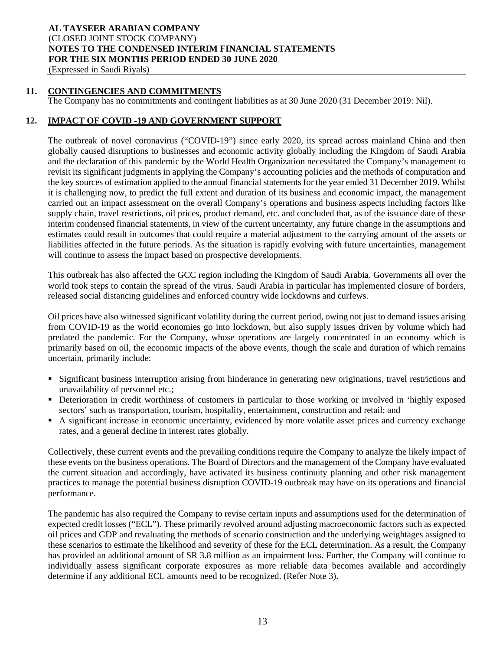(Expressed in Saudi Riyals)

#### **11. CONTINGENCIES AND COMMITMENTS**

The Company has no commitments and contingent liabilities as at 30 June 2020 (31 December 2019: Nil).

#### **12. IMPACT OF COVID -19 AND GOVERNMENT SUPPORT**

The outbreak of novel coronavirus ("COVID-19") since early 2020, its spread across mainland China and then globally caused disruptions to businesses and economic activity globally including the Kingdom of Saudi Arabia and the declaration of this pandemic by the World Health Organization necessitated the Company's management to revisit its significant judgments in applying the Company's accounting policies and the methods of computation and the key sources of estimation applied to the annual financial statements for the year ended 31 December 2019. Whilst it is challenging now, to predict the full extent and duration of its business and economic impact, the management carried out an impact assessment on the overall Company's operations and business aspects including factors like supply chain, travel restrictions, oil prices, product demand, etc. and concluded that, as of the issuance date of these interim condensed financial statements, in view of the current uncertainty, any future change in the assumptions and estimates could result in outcomes that could require a material adjustment to the carrying amount of the assets or liabilities affected in the future periods. As the situation is rapidly evolving with future uncertainties, management will continue to assess the impact based on prospective developments.

This outbreak has also affected the GCC region including the Kingdom of Saudi Arabia. Governments all over the world took steps to contain the spread of the virus. Saudi Arabia in particular has implemented closure of borders, released social distancing guidelines and enforced country wide lockdowns and curfews.

Oil prices have also witnessed significant volatility during the current period, owing not just to demand issues arising from COVID-19 as the world economies go into lockdown, but also supply issues driven by volume which had predated the pandemic. For the Company, whose operations are largely concentrated in an economy which is primarily based on oil, the economic impacts of the above events, though the scale and duration of which remains uncertain, primarily include:

- Significant business interruption arising from hinderance in generating new originations, travel restrictions and unavailability of personnel etc.;
- Deterioration in credit worthiness of customers in particular to those working or involved in 'highly exposed sectors' such as transportation, tourism, hospitality, entertainment, construction and retail; and
- A significant increase in economic uncertainty, evidenced by more volatile asset prices and currency exchange rates, and a general decline in interest rates globally.

Collectively, these current events and the prevailing conditions require the Company to analyze the likely impact of these events on the business operations. The Board of Directors and the management of the Company have evaluated the current situation and accordingly, have activated its business continuity planning and other risk management practices to manage the potential business disruption COVID-19 outbreak may have on its operations and financial performance.

The pandemic has also required the Company to revise certain inputs and assumptions used for the determination of expected credit losses ("ECL"). These primarily revolved around adjusting macroeconomic factors such as expected oil prices and GDP and revaluating the methods of scenario construction and the underlying weightages assigned to these scenarios to estimate the likelihood and severity of these for the ECL determination. As a result, the Company has provided an additional amount of SR 3.8 million as an impairment loss. Further, the Company will continue to individually assess significant corporate exposures as more reliable data becomes available and accordingly determine if any additional ECL amounts need to be recognized. (Refer Note 3).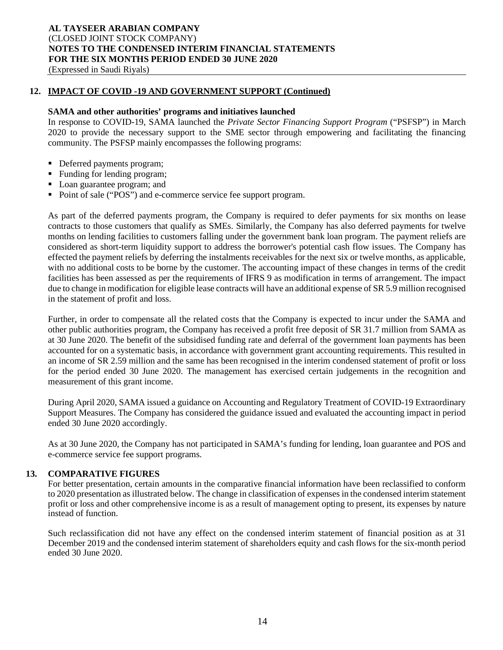(Expressed in Saudi Riyals)

#### **12. IMPACT OF COVID -19 AND GOVERNMENT SUPPORT (Continued)**

#### **SAMA and other authorities' programs and initiatives launched**

In response to COVID-19, SAMA launched the *Private Sector Financing Support Program* ("PSFSP") in March 2020 to provide the necessary support to the SME sector through empowering and facilitating the financing community. The PSFSP mainly encompasses the following programs:

- Deferred payments program;
- Funding for lending program;
- Loan guarantee program; and
- Point of sale ("POS") and e-commerce service fee support program.

As part of the deferred payments program, the Company is required to defer payments for six months on lease contracts to those customers that qualify as SMEs. Similarly, the Company has also deferred payments for twelve months on lending facilities to customers falling under the government bank loan program. The payment reliefs are considered as short-term liquidity support to address the borrower's potential cash flow issues. The Company has effected the payment reliefs by deferring the instalments receivables for the next six or twelve months, as applicable, with no additional costs to be borne by the customer. The accounting impact of these changes in terms of the credit facilities has been assessed as per the requirements of IFRS 9 as modification in terms of arrangement. The impact due to change in modification for eligible lease contracts will have an additional expense of SR 5.9 million recognised in the statement of profit and loss.

Further, in order to compensate all the related costs that the Company is expected to incur under the SAMA and other public authorities program, the Company has received a profit free deposit of SR 31.7 million from SAMA as at 30 June 2020. The benefit of the subsidised funding rate and deferral of the government loan payments has been accounted for on a systematic basis, in accordance with government grant accounting requirements. This resulted in an income of SR 2.59 million and the same has been recognised in the interim condensed statement of profit or loss for the period ended 30 June 2020. The management has exercised certain judgements in the recognition and measurement of this grant income.

During April 2020, SAMA issued a guidance on Accounting and Regulatory Treatment of COVID-19 Extraordinary Support Measures. The Company has considered the guidance issued and evaluated the accounting impact in period ended 30 June 2020 accordingly.

As at 30 June 2020, the Company has not participated in SAMA's funding for lending, loan guarantee and POS and e-commerce service fee support programs.

#### **13. COMPARATIVE FIGURES**

For better presentation, certain amounts in the comparative financial information have been reclassified to conform to 2020 presentation as illustrated below. The change in classification of expenses in the condensed interim statement profit or loss and other comprehensive income is as a result of management opting to present, its expenses by nature instead of function.

Such reclassification did not have any effect on the condensed interim statement of financial position as at 31 December 2019 and the condensed interim statement of shareholders equity and cash flows for the six-month period ended 30 June 2020.